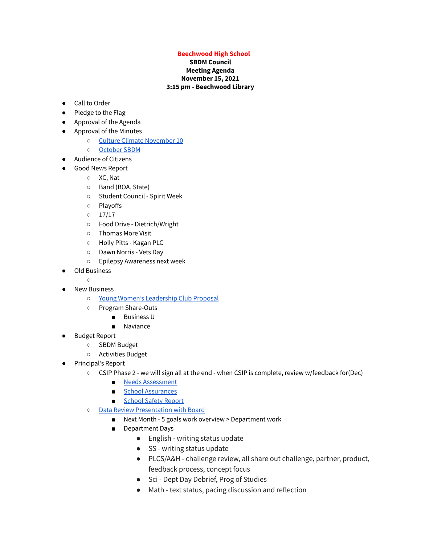## **Beechwood High School**

## **SBDM Council Meeting Agenda November 15, 2021 3:15 pm - Beechwood Library**

- Call to Order
- Pledge to the Flag
- Approval of the Agenda
- Approval of the Minutes
	- Culture Climate [November](https://docs.google.com/document/d/1IMT5WaMzxZNwKq4px-xMDBZUQdcJuNXc16xVLCCOfWU/edit?usp=sharing) 10
	- [October](https://docs.google.com/document/d/1NBqMjqVK7WhdaG0i5JlzUD5tB4ikv1SMLoB6EeSsAJ4/edit?usp=sharing) SBDM
- Audience of Citizens
	- Good News Report
		- XC, Nat
		- Band (BOA, State)
		- Student Council Spirit Week
		- Playoffs
		- $0$  17/17
		- Food Drive Dietrich/Wright
		- Thomas More Visit
		- Holly Pitts Kagan PLC
		- Dawn Norris Vets Day
		- Epilepsy Awareness next week
- Old Business
- $\circ$ **New Business** 
	- Young Women's [Leadership](https://docs.google.com/document/d/1g1YyZA_dYdpT5tnyw-runV3eGS5fwVWSbmgqH3XHELc/edit?usp=sharing) Club Proposal
	- Program Share-Outs
		- Business U
		- Naviance
- **Budget Report** 
	- SBDM Budget
	- Activities Budget
- Principal's Report
	- CSIP Phase 2 we will sign all at the end when CSIP is complete, review w/feedback for(Dec)
		- Needs [Assessment](https://drive.google.com/file/d/1dl1pbNaZBX0rPHyoSEzM35Z5znwBlxYW/view?usp=sharing)
		- School [Assurances](https://drive.google.com/file/d/1OCoe4w4ZoQkqks3psmZcGx0T9arnlMtW/view?usp=sharing)
		- [School](https://drive.google.com/file/d/1qMYcMliZe4aCtAM1AckqeLor5avADIKC/view?usp=sharing) Safety Report
	- Data Review [Presentation](https://docs.google.com/presentation/d/11lIfjwg_eMGvTuQDZkNVOYxLjpRvjyFuybDv1yCWzlw/edit?usp=sharing) with Board
		- Next Month 5 goals work overview > Department work
		- Department Days
			- English writing status update
			- SS writing status update
			- PLCS/A&H challenge review, all share out challenge, partner, product, feedback process, concept focus
			- Sci Dept Day Debrief, Prog of Studies
			- Math text status, pacing discussion and reflection